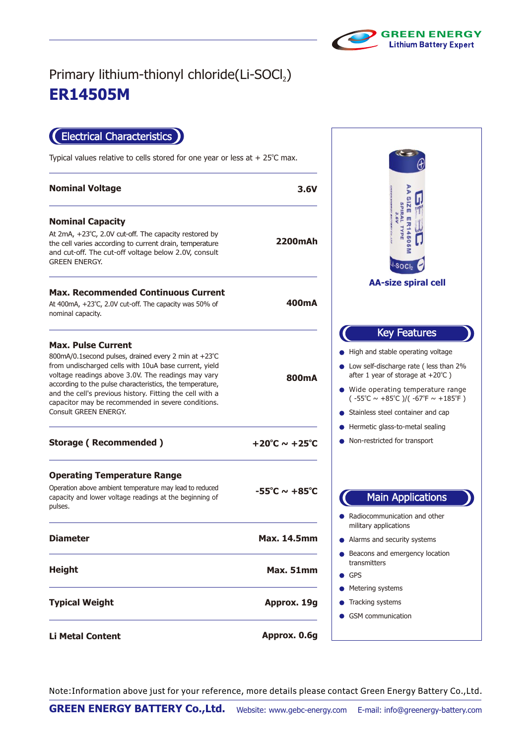

## **ER14505M** Primary lithium-thionyl chloride(Li-SOCl2)

Electrical Characteristics

Typical values relative to cells stored for one year or less at  $+25^{\circ}$ C max.

| <b>Nominal Voltage</b>                                                                                                                                                                                                                                                                                                                                                                                   | 3.6V                               |                                                                                                                                                                                                                                                                                                                                                                            |
|----------------------------------------------------------------------------------------------------------------------------------------------------------------------------------------------------------------------------------------------------------------------------------------------------------------------------------------------------------------------------------------------------------|------------------------------------|----------------------------------------------------------------------------------------------------------------------------------------------------------------------------------------------------------------------------------------------------------------------------------------------------------------------------------------------------------------------------|
| <b>Nominal Capacity</b><br>At 2mA, +23°C, 2.0V cut-off. The capacity restored by<br>the cell varies according to current drain, temperature<br>and cut-off. The cut-off voltage below 2.0V, consult<br><b>GREEN ENERGY.</b>                                                                                                                                                                              | <b>2200mAh</b>                     | <b>SPIRAL</b><br>ш<br>R1450<br>TYPE<br>·soci                                                                                                                                                                                                                                                                                                                               |
| <b>Max. Recommended Continuous Current</b><br>At 400mA, +23°C, 2.0V cut-off. The capacity was 50% of<br>nominal capacity.                                                                                                                                                                                                                                                                                | 400mA                              | <b>AA-size spiral cell</b>                                                                                                                                                                                                                                                                                                                                                 |
| <b>Max. Pulse Current</b><br>800mA/0.1 second pulses, drained every 2 min at +23°C<br>from undischarged cells with 10uA base current, yield<br>voltage readings above 3.0V. The readings may vary<br>according to the pulse characteristics, the temperature,<br>and the cell's previous history. Fitting the cell with a<br>capacitor may be recommended in severe conditions.<br>Consult GREEN ENERGY. | <b>800mA</b>                       | <b>Key Features</b><br>• High and stable operating voltage<br>• Low self-discharge rate (less than 2%<br>after 1 year of storage at $+20^{\circ}$ C)<br>• Wide operating temperature range<br>$(-55^{\circ}\text{C} \sim +85^{\circ}\text{C})/(-67^{\circ}\text{F} \sim +185^{\circ}\text{F})$<br>• Stainless steel container and cap<br>● Hermetic glass-to-metal sealing |
| <b>Storage (Recommended)</b>                                                                                                                                                                                                                                                                                                                                                                             | $+20^{\circ}$ C ~ $+25^{\circ}$ C  | • Non-restricted for transport                                                                                                                                                                                                                                                                                                                                             |
| <b>Operating Temperature Range</b><br>Operation above ambient temperature may lead to reduced<br>capacity and lower voltage readings at the beginning of<br>pulses.                                                                                                                                                                                                                                      | $-55^{\circ}$ C ~ +85 $^{\circ}$ C | <b>Main Applications</b><br>Radiocommunication and other                                                                                                                                                                                                                                                                                                                   |
| <b>Diameter</b>                                                                                                                                                                                                                                                                                                                                                                                          | <b>Max. 14.5mm</b>                 | military applications<br>• Alarms and security systems                                                                                                                                                                                                                                                                                                                     |
| <b>Height</b>                                                                                                                                                                                                                                                                                                                                                                                            | Max. 51mm                          | ● Beacons and emergency location<br>transmitters<br><b>GPS</b>                                                                                                                                                                                                                                                                                                             |
| <b>Typical Weight</b>                                                                                                                                                                                                                                                                                                                                                                                    | Approx. 19g                        | • Metering systems<br>Tracking systems<br>• GSM communication                                                                                                                                                                                                                                                                                                              |
| <b>Li Metal Content</b>                                                                                                                                                                                                                                                                                                                                                                                  | Approx. 0.6g                       |                                                                                                                                                                                                                                                                                                                                                                            |

Note:Information above just for your reference, more details please contact Green Energy Battery Co.,Ltd.